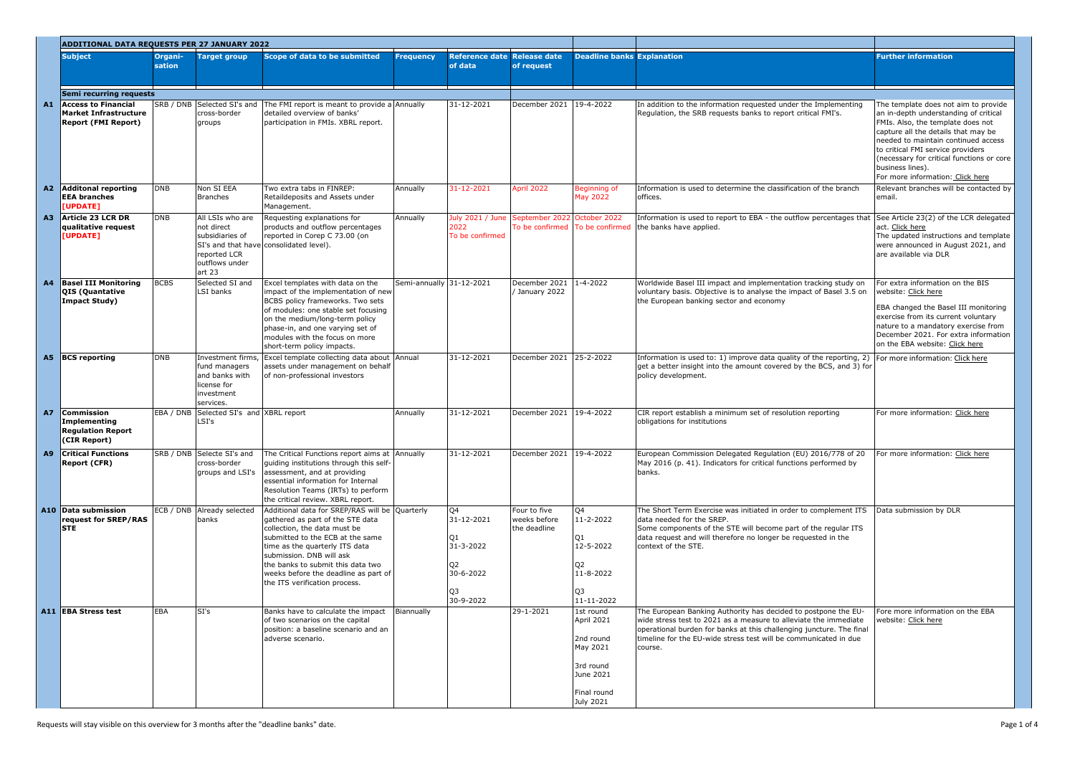|                | ADDITIONAL DATA REQUESTS PER 27 JANUARY 2022                                             |                   |                                                                                                 |                                                                                                                                                                                                                                                                                                                                    |                          |                                                                         |                                              |                                                                                                        |                                                                                                                                                                                                                                                                                           |                                                                                                                                                                                                                                                                                                                                            |
|----------------|------------------------------------------------------------------------------------------|-------------------|-------------------------------------------------------------------------------------------------|------------------------------------------------------------------------------------------------------------------------------------------------------------------------------------------------------------------------------------------------------------------------------------------------------------------------------------|--------------------------|-------------------------------------------------------------------------|----------------------------------------------|--------------------------------------------------------------------------------------------------------|-------------------------------------------------------------------------------------------------------------------------------------------------------------------------------------------------------------------------------------------------------------------------------------------|--------------------------------------------------------------------------------------------------------------------------------------------------------------------------------------------------------------------------------------------------------------------------------------------------------------------------------------------|
|                | <b>Subject</b>                                                                           | Organi-<br>sation | <b>Target group</b>                                                                             | Scope of data to be submitted                                                                                                                                                                                                                                                                                                      | <b>Frequency</b>         | <b>Reference date</b><br>of data                                        | <b>Release date</b><br>of request            | <b>Deadline banks Explanation</b>                                                                      |                                                                                                                                                                                                                                                                                           | <b>Further information</b>                                                                                                                                                                                                                                                                                                                 |
|                | <b>Semi recurring requests</b>                                                           |                   |                                                                                                 |                                                                                                                                                                                                                                                                                                                                    |                          |                                                                         |                                              |                                                                                                        |                                                                                                                                                                                                                                                                                           |                                                                                                                                                                                                                                                                                                                                            |
| A1             | <b>Access to Financial</b><br><b>Market Infrastructure</b><br><b>Report (FMI Report)</b> |                   | cross-border<br>groups                                                                          | $ SRB / DNB$ Selected SI's and The FMI report is meant to provide a Annually<br>detailed overview of banks'<br>participation in FMIs. XBRL report.                                                                                                                                                                                 |                          | 31-12-2021                                                              | December 2021 19-4-2022                      |                                                                                                        | In addition to the information requested under the Implementing<br>Regulation, the SRB requests banks to report critical FMI's.                                                                                                                                                           | The template does not aim to provide<br>an in-depth understanding of critical<br>FMIs. Also, the template does not<br>capture all the details that may be<br>needed to maintain continued access<br>to critical FMI service providers<br>(necessary for critical functions or core<br>business lines).<br>For more information: Click here |
| A <sub>2</sub> | <b>Additonal reporting</b><br><b>EEA branches</b><br>UPDATE]                             | <b>DNB</b>        | Non SI EEA<br>Branches                                                                          | Two extra tabs in FINREP:<br>Retaildeposits and Assets under<br>Management.                                                                                                                                                                                                                                                        | Annually                 | 31-12-2021                                                              | April 2022                                   | Beginning of<br><b>May 2022</b>                                                                        | Information is used to determine the classification of the branch<br>offices.                                                                                                                                                                                                             | Relevant branches will be contacted by<br>email.                                                                                                                                                                                                                                                                                           |
| A <sub>3</sub> | Article 23 LCR DR<br>qualitative request<br>[UPDATE]                                     | <b>DNB</b>        | All LSIs who are<br>not direct<br>subsidiaries of<br>reported LCR<br>outflows under<br>art $23$ | Requesting explanations for<br>products and outflow percentages<br>reported in Corep C 73.00 (on<br>SI's and that have consolidated level).                                                                                                                                                                                        | Annually                 | July 2021 / June September 2022 October 2022<br>2022<br>To be confirmed | To be confirmed   To be confirmed            |                                                                                                        | Information is used to report to EBA - the outflow percentages that<br>the banks have applied.                                                                                                                                                                                            | See Article 23(2) of the LCR delegated<br>act. Click here<br>The updated instructions and template<br>were announced in August 2021, and<br>are available via DLR                                                                                                                                                                          |
| A <sub>4</sub> | <b>Basel III Monitoring</b><br>QIS (Quantative<br><b>Impact Study)</b>                   | <b>BCBS</b>       | Selected SI and<br>LSI banks                                                                    | Excel templates with data on the<br>impact of the implementation of new<br>BCBS policy frameworks. Two sets<br>of modules: one stable set focusing<br>on the medium/long-term policy<br>phase-in, and one varying set of<br>modules with the focus on more<br>short-term policy impacts.                                           | Semi-annually 31-12-2021 |                                                                         | December 2021<br>/ January 2022              | $1 - 4 - 2022$                                                                                         | Worldwide Basel III impact and implementation tracking study on<br>voluntary basis. Objective is to analyse the impact of Basel 3.5 on<br>the European banking sector and economy                                                                                                         | For extra information on the BIS<br>website: Click here<br>EBA changed the Basel III monitoring<br>exercise from its current voluntary<br>nature to a mandatory exercise from<br>December 2021. For extra information<br>on the EBA website: Click here                                                                                    |
| A <sub>5</sub> | <b>BCS</b> reporting                                                                     | DNB               | fund managers<br>and banks with<br>license for<br>investment<br>services.                       | Investment firms, Excel template collecting data about Annual<br>assets under management on behalf<br>of non-professional investors                                                                                                                                                                                                |                          | 31-12-2021                                                              | December 2021                                | $25 - 2 - 2022$                                                                                        | Information is used to: 1) improve data quality of the reporting, 2)<br>get a better insight into the amount covered by the BCS, and 3) for<br>policy development.                                                                                                                        | For more information: Click here                                                                                                                                                                                                                                                                                                           |
| <b>A7</b>      | <b>Commission</b><br><b>Implementing</b><br><b>Regulation Report</b><br>(CIR Report)     |                   | EBA / DNB Selected SI's and XBRL report<br>LSI's                                                |                                                                                                                                                                                                                                                                                                                                    | Annually                 | 31-12-2021                                                              | December 2021 19-4-2022                      |                                                                                                        | CIR report establish a minimum set of resolution reporting<br>obligations for institutions                                                                                                                                                                                                | For more information: Click here                                                                                                                                                                                                                                                                                                           |
| A9             | <b>Critical Functions</b><br><b>Report (CFR)</b>                                         |                   | SRB / DNB Selecte SI's and<br>cross-border<br>groups and LSI's                                  | The Critical Functions report aims at Annually<br>guiding institutions through this self-<br>assessment, and at providing<br>essential information for Internal<br>Resolution Teams (IRTs) to perform<br>the critical review. XBRL report.                                                                                         |                          | 31-12-2021                                                              | December 2021 19-4-2022                      |                                                                                                        | European Commission Delegated Regulation (EU) 2016/778 of 20<br>May 2016 (p. 41). Indicators for critical functions performed by<br>banks.                                                                                                                                                | For more information: Click here                                                                                                                                                                                                                                                                                                           |
|                | A10 Data submission<br>request for SREP/RAS<br><b>STE</b>                                |                   | ECB / DNB Already selected<br>banks                                                             | Additional data for SREP/RAS will be Quarterly<br>gathered as part of the STE data<br>collection, the data must be<br>submitted to the ECB at the same<br>time as the quarterly ITS data<br>submission. DNB will ask<br>the banks to submit this data two<br>weeks before the deadline as part of<br>the ITS verification process. |                          | Q4<br>31-12-2021<br>31-3-2022<br>30-6-2022<br>Q3<br>30-9-2022           | Four to five<br>weeks before<br>the deadline | Q4<br>11-2-2022<br>12-5-2022<br>11-8-2022<br>11-11-2022                                                | The Short Term Exercise was initiated in order to complement ITS<br>data needed for the SREP.<br>Some components of the STE will become part of the regular ITS<br>data request and will therefore no longer be requested in the<br>context of the STE.                                   | Data submission by DLR                                                                                                                                                                                                                                                                                                                     |
|                | A11 EBA Stress test                                                                      | <b>EBA</b>        | SI's                                                                                            | Banks have to calculate the impact<br>of two scenarios on the capital<br>position: a baseline scenario and an<br>adverse scenario.                                                                                                                                                                                                 | Biannually               |                                                                         | 29-1-2021                                    | 1st round<br>April 2021<br>2nd round<br>May 2021<br>3rd round<br>June 2021<br>Final round<br>July 2021 | The European Banking Authority has decided to postpone the EU-<br>wide stress test to 2021 as a measure to alleviate the immediate<br>operational burden for banks at this challenging juncture. The final<br>timeline for the EU-wide stress test will be communicated in due<br>course. | Fore more information on the EBA<br>website: Click here                                                                                                                                                                                                                                                                                    |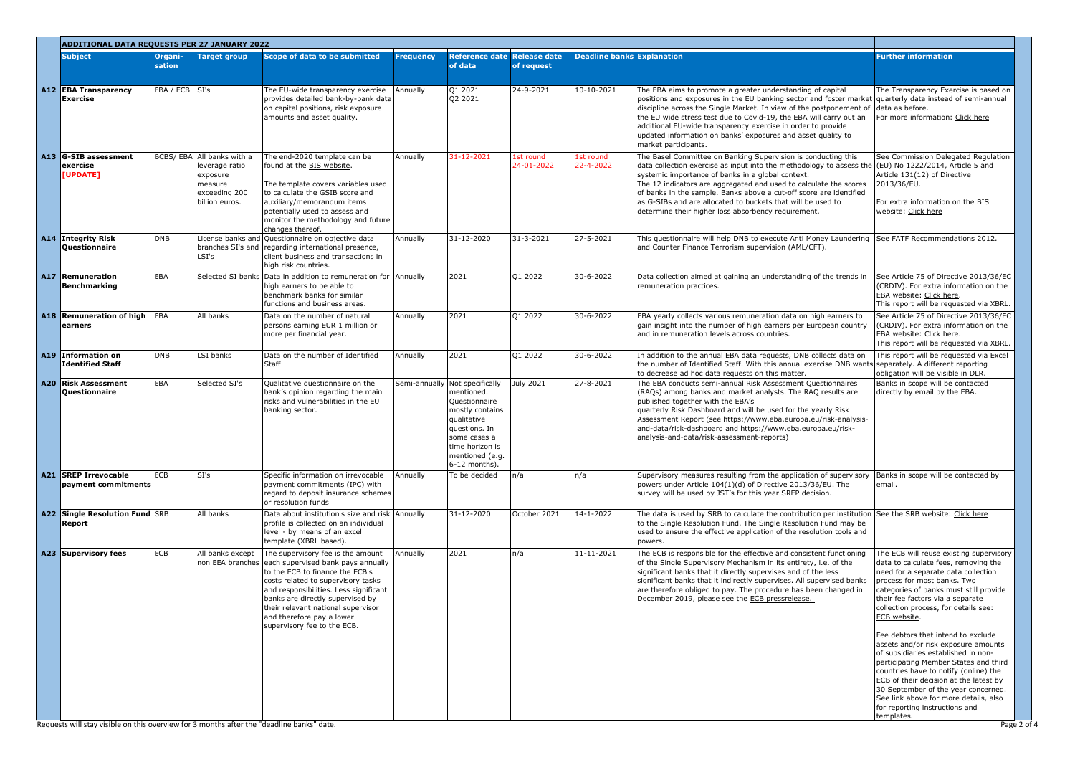| <b>ADDITIONAL DATA REQUESTS PER 27 JANUARY 2022</b> |                   |                                                                                                        |                                                                                                                                                                                                                                                                                                                                                   |                  |                                                                                                                                                                                         |                                   |                                   |                                                                                                                                                                                                                                                                                                                                                                                                                                                                                                |                                                                                                                                                                                                                                                                                                                                                                                                                                                                                                                                                                                                                             |
|-----------------------------------------------------|-------------------|--------------------------------------------------------------------------------------------------------|---------------------------------------------------------------------------------------------------------------------------------------------------------------------------------------------------------------------------------------------------------------------------------------------------------------------------------------------------|------------------|-----------------------------------------------------------------------------------------------------------------------------------------------------------------------------------------|-----------------------------------|-----------------------------------|------------------------------------------------------------------------------------------------------------------------------------------------------------------------------------------------------------------------------------------------------------------------------------------------------------------------------------------------------------------------------------------------------------------------------------------------------------------------------------------------|-----------------------------------------------------------------------------------------------------------------------------------------------------------------------------------------------------------------------------------------------------------------------------------------------------------------------------------------------------------------------------------------------------------------------------------------------------------------------------------------------------------------------------------------------------------------------------------------------------------------------------|
| Subject                                             | Organi-<br>sation | <b>Target group</b>                                                                                    | Scope of data to be submitted                                                                                                                                                                                                                                                                                                                     | <b>Frequency</b> | <b>Reference date</b><br>of data                                                                                                                                                        | <b>Release date</b><br>of request | <b>Deadline banks Explanation</b> |                                                                                                                                                                                                                                                                                                                                                                                                                                                                                                | <b>Further information</b>                                                                                                                                                                                                                                                                                                                                                                                                                                                                                                                                                                                                  |
| A12 EBA Transparency<br><b>Exercise</b>             | EBA / ECB SI's    |                                                                                                        | The EU-wide transparency exercise<br>provides detailed bank-by-bank data<br>on capital positions, risk exposure<br>amounts and asset quality.                                                                                                                                                                                                     | Annually         | Q1 2021<br>Q2 2021                                                                                                                                                                      | 24-9-2021                         | $10-10-2021$                      | The EBA aims to promote a greater understanding of capital<br>positions and exposures in the EU banking sector and foster market quarterly data instead of semi-annual<br>discipline across the Single Market. In view of the postponement of<br>the EU wide stress test due to Covid-19, the EBA will carry out an<br>additional EU-wide transparency exercise in order to provide<br>updated information on banks' exposures and asset quality to<br>market participants.                    | The Transparency Exercise is based on<br>data as before.<br>For more information: Click here                                                                                                                                                                                                                                                                                                                                                                                                                                                                                                                                |
| A13 G-SIB assessment<br>exercise<br>[UPDATE]        |                   | BCBS/ EBA All banks with a<br>leverage ratio<br>exposure<br>measure<br>exceeding 200<br>billion euros. | The end-2020 template can be<br>found at the BIS website.<br>The template covers variables used<br>to calculate the GSIB score and<br>auxiliary/memorandum items<br>potentially used to assess and<br>monitor the methodology and future<br>changes thereof.                                                                                      | Annually         | 31-12-2021                                                                                                                                                                              | 1st round<br>24-01-2022           | 1st round<br>22-4-2022            | The Basel Committee on Banking Supervision is conducting this<br>data collection exercise as input into the methodology to assess the $(EU)$ No 1222/2014, Article 5 and<br>systemic importance of banks in a global context.<br>The 12 indicators are aggregated and used to calculate the scores<br>of banks in the sample. Banks above a cut-off score are identified<br>as G-SIBs and are allocated to buckets that will be used to<br>determine their higher loss absorbency requirement. | See Commission Delegated Regulation<br>Article 131(12) of Directive<br>2013/36/EU.<br>For extra information on the BIS<br>website: Click here                                                                                                                                                                                                                                                                                                                                                                                                                                                                               |
| A14 Integrity Risk<br>Questionnaire                 | <b>DNB</b>        | LSI's                                                                                                  | License banks and Questionnaire on objective data<br>branches SI's and regarding international presence,<br>client business and transactions in<br>high risk countries.                                                                                                                                                                           | Annually         | 31-12-2020                                                                                                                                                                              | 31-3-2021                         | 27-5-2021                         | This questionnaire will help DNB to execute Anti Money Laundering<br>and Counter Finance Terrorism supervision (AML/CFT).                                                                                                                                                                                                                                                                                                                                                                      | See FATF Recommendations 2012.                                                                                                                                                                                                                                                                                                                                                                                                                                                                                                                                                                                              |
| A17 Remuneration<br>Benchmarking                    | <b>LEBA</b>       |                                                                                                        | Selected SI banks Data in addition to remuneration for Annually<br>high earners to be able to<br>benchmark banks for similar<br>functions and business areas.                                                                                                                                                                                     |                  | 2021                                                                                                                                                                                    | Q1 2022                           | 30-6-2022                         | Data collection aimed at gaining an understanding of the trends in<br>remuneration practices.                                                                                                                                                                                                                                                                                                                                                                                                  | See Article 75 of Directive 2013/36/EC<br>(CRDIV). For extra information on the<br>EBA website: Click here.<br>This report will be requested via XBRL                                                                                                                                                                                                                                                                                                                                                                                                                                                                       |
| A18 Remuneration of high EBA<br>earners             |                   | All banks                                                                                              | Data on the number of natural<br>persons earning EUR 1 million or<br>more per financial year.                                                                                                                                                                                                                                                     | Annually         | 2021                                                                                                                                                                                    | Q1 2022                           | 30-6-2022                         | EBA yearly collects various remuneration data on high earners to<br>gain insight into the number of high earners per European country<br>and in remuneration levels across countries.                                                                                                                                                                                                                                                                                                          | See Article 75 of Directive 2013/36/EC<br>(CRDIV). For extra information on the<br>EBA website: Click here.<br>This report will be requested via XBRL                                                                                                                                                                                                                                                                                                                                                                                                                                                                       |
| A19 Information on<br>Identified Staff              | <b>DNB</b>        | LSI banks                                                                                              | Data on the number of Identified<br>Staff                                                                                                                                                                                                                                                                                                         | Annually         | 2021                                                                                                                                                                                    | Q1 2022                           | 30-6-2022                         | In addition to the annual EBA data requests, DNB collects data on<br>the number of Identified Staff. With this annual exercise DNB wants separately. A different reporting<br>to decrease ad hoc data requests on this matter.                                                                                                                                                                                                                                                                 | This report will be requested via Excel<br>obligation will be visible in DLR.                                                                                                                                                                                                                                                                                                                                                                                                                                                                                                                                               |
| A20 Risk Assessment<br>Questionnaire                | <b>EBA</b>        | Selected SI's                                                                                          | Qualitative questionnaire on the<br>bank's opinion regarding the main<br>risks and vulnerabilities in the EU<br>banking sector.                                                                                                                                                                                                                   |                  | Semi-annually Not specifically<br>mentioned.<br>Questionnaire<br>mostly contains<br>qualitative<br>questions. In<br>some cases a<br>time horizon is<br>mentioned (e.g.<br>6-12 months). | July 2021                         | 27-8-2021                         | The EBA conducts semi-annual Risk Assessment Questionnaires<br>(RAQs) among banks and market analysts. The RAQ results are<br>published together with the EBA's<br>quarterly Risk Dashboard and will be used for the yearly Risk<br>Assessment Report (see https://www.eba.europa.eu/risk-analysis-<br>and-data/risk-dashboard and https://www.eba.europa.eu/risk-<br>analysis-and-data/risk-assessment-reports)                                                                               | Banks in scope will be contacted<br>directly by email by the EBA.                                                                                                                                                                                                                                                                                                                                                                                                                                                                                                                                                           |
| A21 SREP Irrevocable<br>payment commitments         | <b>ECB</b>        | SI's                                                                                                   | Specific information on irrevocable<br>payment commitments (IPC) with<br>regard to deposit insurance schemes<br>or resolution funds                                                                                                                                                                                                               | Annually         | To be decided                                                                                                                                                                           | n/a                               | n/a                               | Supervisory measures resulting from the application of supervisory<br>powers under Article 104(1)(d) of Directive 2013/36/EU. The<br>survey will be used by JST's for this year SREP decision.                                                                                                                                                                                                                                                                                                 | Banks in scope will be contacted by<br>email.                                                                                                                                                                                                                                                                                                                                                                                                                                                                                                                                                                               |
| A22 Single Resolution Fund SRB<br>Report            |                   | All banks                                                                                              | Data about institution's size and risk Annually<br>profile is collected on an individual<br>level - by means of an excel<br>template (XBRL based).                                                                                                                                                                                                |                  | 31-12-2020                                                                                                                                                                              | October 2021                      | $14 - 1 - 2022$                   | The data is used by SRB to calculate the contribution per institution See the SRB website: Click here<br>to the Single Resolution Fund. The Single Resolution Fund may be<br>used to ensure the effective application of the resolution tools and<br>powers.                                                                                                                                                                                                                                   |                                                                                                                                                                                                                                                                                                                                                                                                                                                                                                                                                                                                                             |
| A23 Supervisory fees                                | ECB               | All banks except                                                                                       | The supervisory fee is the amount<br>non EEA branches each supervised bank pays annually<br>to the ECB to finance the ECB's<br>costs related to supervisory tasks<br>and responsibilities. Less significant<br>banks are directly supervised by<br>their relevant national supervisor<br>and therefore pay a lower<br>supervisory fee to the ECB. | Annually         | 2021                                                                                                                                                                                    | n/a                               | $11 - 11 - 2021$                  | The ECB is responsible for the effective and consistent functioning<br>of the Single Supervisory Mechanism in its entirety, i.e. of the<br>significant banks that it directly supervises and of the less<br>significant banks that it indirectly supervises. All supervised banks<br>are therefore obliged to pay. The procedure has been changed in<br>December 2019, please see the ECB pressrelease.                                                                                        | The ECB will reuse existing supervisory<br>data to calculate fees, removing the<br>need for a separate data collection<br>process for most banks. Two<br>categories of banks must still provide<br>their fee factors via a separate<br>collection process, for details see:<br>ECB website.<br>Fee debtors that intend to exclude<br>assets and/or risk exposure amounts<br>of subsidiaries established in non-<br>participating Member States and third<br>countries have to notify (online) the<br>ECB of their decision at the latest by<br>30 September of the year concerned.<br>See link above for more details, also |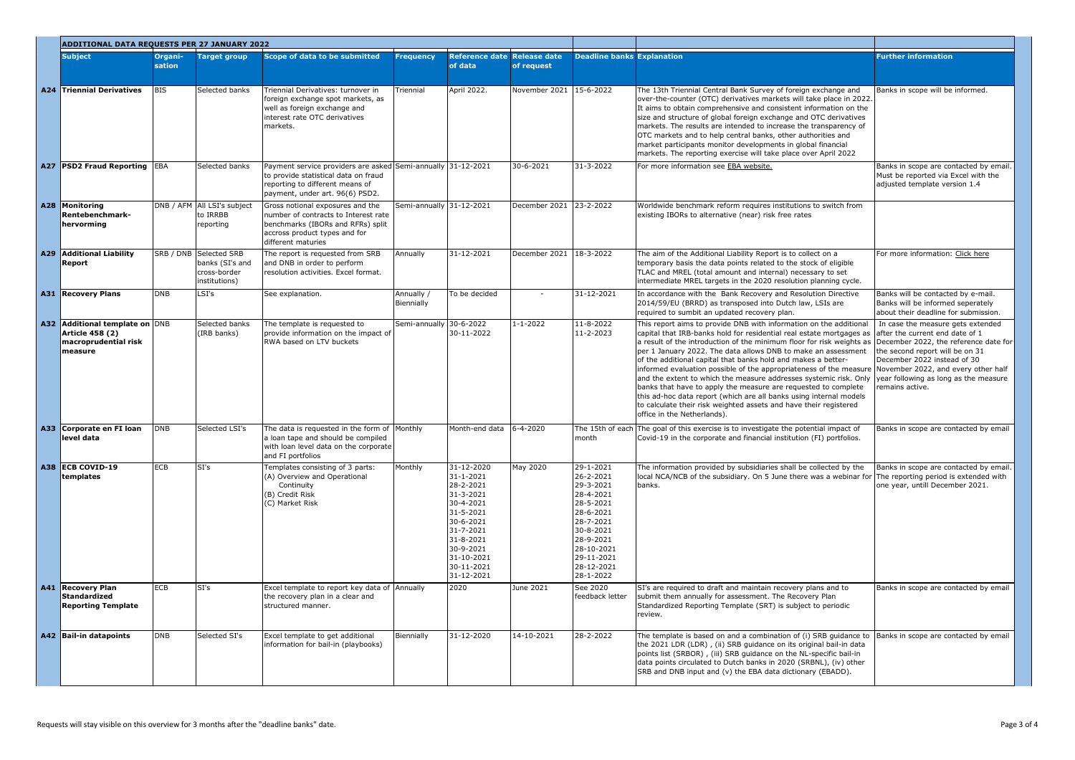| <b>ADDITIONAL DATA REQUESTS PER 27 JANUARY 2022</b>                                   |                   |                                                                            |                                                                                                                                                                            |                          |                                                                                                                                                                                 |                                   |                                                                                                                                                                          |                                                                                                                                                                                                                                                                                                                                                                                                                                                                                                                                                                                                                                                                                                                                                                                                                                                                                              |                                                                                                                        |
|---------------------------------------------------------------------------------------|-------------------|----------------------------------------------------------------------------|----------------------------------------------------------------------------------------------------------------------------------------------------------------------------|--------------------------|---------------------------------------------------------------------------------------------------------------------------------------------------------------------------------|-----------------------------------|--------------------------------------------------------------------------------------------------------------------------------------------------------------------------|----------------------------------------------------------------------------------------------------------------------------------------------------------------------------------------------------------------------------------------------------------------------------------------------------------------------------------------------------------------------------------------------------------------------------------------------------------------------------------------------------------------------------------------------------------------------------------------------------------------------------------------------------------------------------------------------------------------------------------------------------------------------------------------------------------------------------------------------------------------------------------------------|------------------------------------------------------------------------------------------------------------------------|
| <b>Subject</b>                                                                        | Organi-<br>sation | <b>Target group</b>                                                        | Scope of data to be submitted                                                                                                                                              | <b>Frequency</b>         | <b>Reference date</b><br>of data                                                                                                                                                | <b>Release date</b><br>of request | <b>Deadline banks Explanation</b>                                                                                                                                        |                                                                                                                                                                                                                                                                                                                                                                                                                                                                                                                                                                                                                                                                                                                                                                                                                                                                                              | <b>Further information</b>                                                                                             |
| A24 Triennial Derivatives                                                             | <b>BIS</b>        | Selected banks                                                             | Triennial Derivatives: turnover in<br>foreign exchange spot markets, as<br>well as foreign exchange and<br>interest rate OTC derivatives<br>markets.                       | Triennial                | April 2022.                                                                                                                                                                     | November 2021 15-6-2022           |                                                                                                                                                                          | The 13th Triennial Central Bank Survey of foreign exchange and<br>over-the-counter (OTC) derivatives markets will take place in 2022.<br>It aims to obtain comprehensive and consistent information on the<br>size and structure of global foreign exchange and OTC derivatives<br>markets. The results are intended to increase the transparency of<br>OTC markets and to help central banks, other authorities and<br>market participants monitor developments in global financial<br>markets. The reporting exercise will take place over April 2022                                                                                                                                                                                                                                                                                                                                      | Banks in scope will be informed.                                                                                       |
| A27 PSD2 Fraud Reporting EBA                                                          |                   | Selected banks                                                             | Payment service providers are asked Semi-annually 31-12-2021<br>to provide statistical data on fraud<br>reporting to different means of<br>payment, under art. 96(6) PSD2. |                          |                                                                                                                                                                                 | $30 - 6 - 2021$                   | 31-3-2022                                                                                                                                                                | For more information see EBA website.                                                                                                                                                                                                                                                                                                                                                                                                                                                                                                                                                                                                                                                                                                                                                                                                                                                        | Banks in scope are contacted by email.<br>Must be reported via Excel with the<br>adjusted template version 1.4         |
| A28 Monitoring<br><b>Rentebenchmark-</b><br>hervorming                                |                   | DNB / AFM All LSI's subject<br>to IRRBB<br>reporting                       | Gross notional exposures and the<br>number of contracts to Interest rate<br>benchmarks (IBORs and RFRs) split<br>accross product types and for<br>different maturies       | Semi-annually 31-12-2021 |                                                                                                                                                                                 | December 2021                     | 23-2-2022                                                                                                                                                                | Worldwide benchmark reform requires institutions to switch from<br>existing IBORs to alternative (near) risk free rates                                                                                                                                                                                                                                                                                                                                                                                                                                                                                                                                                                                                                                                                                                                                                                      |                                                                                                                        |
| A29 Additional Liability<br>Report                                                    |                   | SRB / DNB Selected SRB<br>banks (SI's and<br>cross-border<br>institutions) | The report is requested from SRB<br>and DNB in order to perform<br>resolution activities. Excel format.                                                                    | Annually                 | 31-12-2021                                                                                                                                                                      | December 2021 18-3-2022           |                                                                                                                                                                          | The aim of the Additional Liability Report is to collect on a<br>temporary basis the data points related to the stock of eligible<br>TLAC and MREL (total amount and internal) necessary to set<br>intermediate MREL targets in the 2020 resolution planning cycle.                                                                                                                                                                                                                                                                                                                                                                                                                                                                                                                                                                                                                          | For more information: Click here                                                                                       |
| A31 Recovery Plans                                                                    | DNB               | LSI's                                                                      | See explanation.                                                                                                                                                           | Annually /<br>Biennially | To be decided                                                                                                                                                                   |                                   | 31-12-2021                                                                                                                                                               | In accordance with the Bank Recovery and Resolution Directive<br>2014/59/EU (BRRD) as transposed into Dutch law, LSIs are<br>required to sumbit an updated recovery plan.                                                                                                                                                                                                                                                                                                                                                                                                                                                                                                                                                                                                                                                                                                                    | Banks will be contacted by e-mail.<br>Banks will be informed seperately<br>about their deadline for submission.        |
| A32 Additional template on DNB<br>Article 458 (2)<br>macroprudential risk<br> measure |                   | Selected banks<br>(IRB banks)                                              | The template is requested to<br>provide information on the impact of<br>RWA based on LTV buckets                                                                           | Semi-annually            | $30 - 6 - 2022$<br>30-11-2022                                                                                                                                                   | $1 - 1 - 2022$                    | $11 - 8 - 2022$<br>$11 - 2 - 2023$                                                                                                                                       | This report aims to provide DNB with information on the additional<br>capital that IRB-banks hold for residential real estate mortgages as after the current end date of 1<br>a result of the introduction of the minimum floor for risk weights as December 2022, the reference date for<br>per 1 January 2022. The data allows DNB to make an assessment<br>of the additional capital that banks hold and makes a better-<br>informed evaluation possible of the appropriateness of the measure November 2022, and every other half<br>and the extent to which the measure addresses systemic risk. Only vear following as long as the measure<br>banks that have to apply the measure are requested to complete<br>this ad-hoc data report (which are all banks using internal models<br>to calculate their risk weighted assets and have their registered<br>office in the Netherlands). | In case the measure gets extended<br>the second report will be on 31<br>December 2022 instead of 30<br>remains active. |
| A33 Corporate en FI Ioan<br>level data                                                | DNB               | Selected LSI's                                                             | The data is requested in the form of Monthly<br>a loan tape and should be compiled<br>with loan level data on the corporate<br>and FI portfolios                           |                          | Month-end data                                                                                                                                                                  | $6 - 4 - 2020$                    | lmonth                                                                                                                                                                   | The 15th of each The goal of this exercise is to investigate the potential impact of<br>Covid-19 in the corporate and financial institution (FI) portfolios.                                                                                                                                                                                                                                                                                                                                                                                                                                                                                                                                                                                                                                                                                                                                 | Banks in scope are contacted by email                                                                                  |
| A38 ECB COVID-19<br>templates                                                         | ECB               | $\overline{\text{SI's}}$                                                   | Templates consisting of 3 parts:<br>(A) Overview and Operational<br>Continuity<br>(B) Credit Risk<br>(C) Market Risk                                                       | Monthly                  | 31-12-2020<br>$31 - 1 - 2021$<br>28-2-2021<br>31-3-2021<br>30-4-2021<br>31-5-2021<br>30-6-2021<br>31-7-2021<br>31-8-2021<br>30-9-2021<br>31-10-2021<br>30-11-2021<br>31-12-2021 | May 2020                          | 29-1-2021<br>26-2-2021<br>29-3-2021<br>28-4-2021<br>28-5-2021<br>28-6-2021<br>28-7-2021<br>30-8-2021<br>28-9-2021<br>28-10-2021<br>29-11-2021<br>28-12-2021<br>28-1-2022 | The information provided by subsidiaries shall be collected by the<br>local NCA/NCB of the subsidiary. On 5 June there was a webinar for The reporting period is extended with<br>banks.                                                                                                                                                                                                                                                                                                                                                                                                                                                                                                                                                                                                                                                                                                     | Banks in scope are contacted by email.<br>one year, untill December 2021.                                              |
| A41 Recovery Plan<br>Standardized<br><b>Reporting Template</b>                        | ECB               | SI's                                                                       | Excel template to report key data of Annually<br>the recovery plan in a clear and<br>structured manner.                                                                    |                          | 2020                                                                                                                                                                            | June 2021                         | See 2020<br>feedback letter                                                                                                                                              | SI's are required to draft and maintain recovery plans and to<br>submit them annually for assessment. The Recovery Plan<br>Standardized Reporting Template (SRT) is subject to periodic<br>review.                                                                                                                                                                                                                                                                                                                                                                                                                                                                                                                                                                                                                                                                                           | Banks in scope are contacted by email                                                                                  |
| A42 Bail-in datapoints                                                                | DNB               | Selected SI's                                                              | Excel template to get additional<br>information for bail-in (playbooks)                                                                                                    | Biennially               | 31-12-2020                                                                                                                                                                      | 14-10-2021                        | 28-2-2022                                                                                                                                                                | The template is based on and a combination of (i) SRB guidance to $\vert$ Banks in scope are contacted by email<br>the 2021 LDR (LDR), (ii) SRB guidance on its original bail-in data<br>points list (SRBOR), (iii) SRB guidance on the NL-specific bail-in<br>data points circulated to Dutch banks in 2020 (SRBNL), (iv) other<br>SRB and DNB input and (v) the EBA data dictionary (EBADD).                                                                                                                                                                                                                                                                                                                                                                                                                                                                                               |                                                                                                                        |